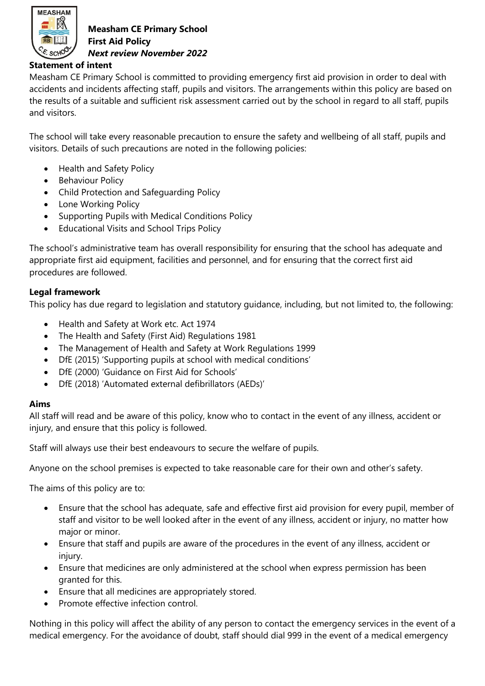

## **Statement of intent**

Measham CE Primary School is committed to providing emergency first aid provision in order to deal with accidents and incidents affecting staff, pupils and visitors. The arrangements within this policy are based on the results of a suitable and sufficient risk assessment carried out by the school in regard to all staff, pupils and visitors.

The school will take every reasonable precaution to ensure the safety and wellbeing of all staff, pupils and visitors. Details of such precautions are noted in the following policies:

- Health and Safety Policy
- Behaviour Policy
- Child Protection and Safeguarding Policy
- Lone Working Policy
- Supporting Pupils with Medical Conditions Policy
- Educational Visits and School Trips Policy

The school's administrative team has overall responsibility for ensuring that the school has adequate and appropriate first aid equipment, facilities and personnel, and for ensuring that the correct first aid procedures are followed.

## **Legal framework**

This policy has due regard to legislation and statutory guidance, including, but not limited to, the following:

- Health and Safety at Work etc. Act 1974
- The Health and Safety (First Aid) Regulations 1981
- The Management of Health and Safety at Work Regulations 1999
- DfE (2015) 'Supporting pupils at school with medical conditions'
- DfE (2000) 'Guidance on First Aid for Schools'
- DfE (2018) 'Automated external defibrillators (AEDs)'

## **Aims**

All staff will read and be aware of this policy, know who to contact in the event of any illness, accident or injury, and ensure that this policy is followed.

Staff will always use their best endeavours to secure the welfare of pupils.

Anyone on the school premises is expected to take reasonable care for their own and other's safety.

The aims of this policy are to:

- Ensure that the school has adequate, safe and effective first aid provision for every pupil, member of staff and visitor to be well looked after in the event of any illness, accident or injury, no matter how major or minor.
- Ensure that staff and pupils are aware of the procedures in the event of any illness, accident or injury.
- Ensure that medicines are only administered at the school when express permission has been granted for this.
- Ensure that all medicines are appropriately stored.
- Promote effective infection control.

Nothing in this policy will affect the ability of any person to contact the emergency services in the event of a medical emergency. For the avoidance of doubt, staff should dial 999 in the event of a medical emergency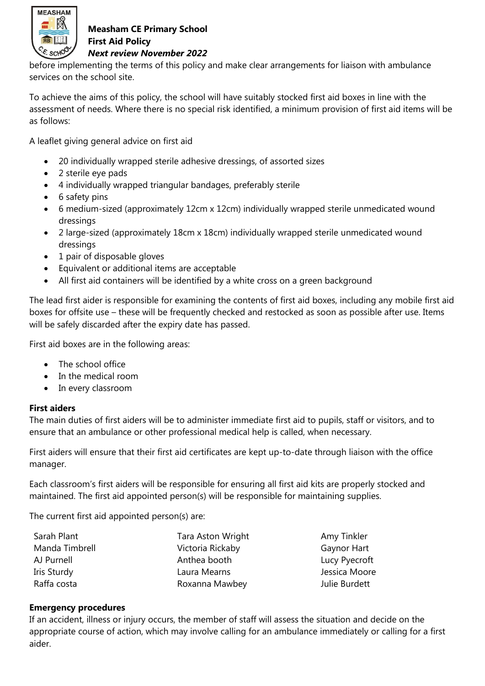

before implementing the terms of this policy and make clear arrangements for liaison with ambulance services on the school site.

To achieve the aims of this policy, the school will have suitably stocked first aid boxes in line with the assessment of needs. Where there is no special risk identified, a minimum provision of first aid items will be as follows:

A leaflet giving general advice on first aid

- 20 individually wrapped sterile adhesive dressings, of assorted sizes
- 2 sterile eye pads
- 4 individually wrapped triangular bandages, preferably sterile
- 6 safety pins
- 6 medium-sized (approximately 12cm x 12cm) individually wrapped sterile unmedicated wound dressings
- 2 large-sized (approximately 18cm x 18cm) individually wrapped sterile unmedicated wound dressings
- 1 pair of disposable gloves
- Equivalent or additional items are acceptable
- All first aid containers will be identified by a white cross on a green background

The lead first aider is responsible for examining the contents of first aid boxes, including any mobile first aid boxes for offsite use – these will be frequently checked and restocked as soon as possible after use. Items will be safely discarded after the expiry date has passed.

First aid boxes are in the following areas:

- The school office
- In the medical room
- In every classroom

#### **First aiders**

The main duties of first aiders will be to administer immediate first aid to pupils, staff or visitors, and to ensure that an ambulance or other professional medical help is called, when necessary.

First aiders will ensure that their first aid certificates are kept up-to-date through liaison with the office manager.

Each classroom's first aiders will be responsible for ensuring all first aid kits are properly stocked and maintained. The first aid appointed person(s) will be responsible for maintaining supplies.

The current first aid appointed person(s) are:

| Sarah Plant    | Tara Aston Wright |
|----------------|-------------------|
| Manda Timbrell | Victoria Rickaby  |
| AJ Purnell     | Anthea booth      |
| Iris Sturdy    | Laura Mearns      |
| Raffa costa    | Roxanna Mawbey    |

Amy Tinkler Gaynor Hart **Lucy Pyecroft** Jessica Moore **Julie Burdett** 

#### **Emergency procedures**

If an accident, illness or injury occurs, the member of staff will assess the situation and decide on the appropriate course of action, which may involve calling for an ambulance immediately or calling for a first aider.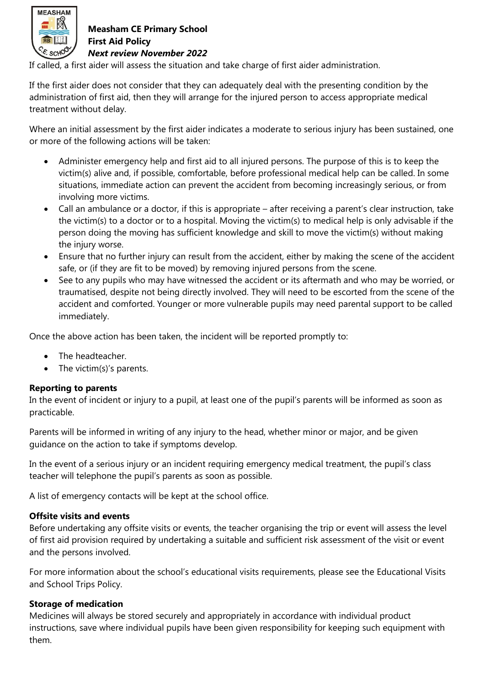

If called, a first aider will assess the situation and take charge of first aider administration.

If the first aider does not consider that they can adequately deal with the presenting condition by the administration of first aid, then they will arrange for the injured person to access appropriate medical treatment without delay.

Where an initial assessment by the first aider indicates a moderate to serious injury has been sustained, one or more of the following actions will be taken:

- Administer emergency help and first aid to all injured persons. The purpose of this is to keep the victim(s) alive and, if possible, comfortable, before professional medical help can be called. In some situations, immediate action can prevent the accident from becoming increasingly serious, or from involving more victims.
- Call an ambulance or a doctor, if this is appropriate after receiving a parent's clear instruction, take the victim(s) to a doctor or to a hospital. Moving the victim(s) to medical help is only advisable if the person doing the moving has sufficient knowledge and skill to move the victim(s) without making the injury worse.
- Ensure that no further injury can result from the accident, either by making the scene of the accident safe, or (if they are fit to be moved) by removing injured persons from the scene.
- See to any pupils who may have witnessed the accident or its aftermath and who may be worried, or traumatised, despite not being directly involved. They will need to be escorted from the scene of the accident and comforted. Younger or more vulnerable pupils may need parental support to be called immediately.

Once the above action has been taken, the incident will be reported promptly to:

- The headteacher.
- The victim(s)'s parents.

#### **Reporting to parents**

In the event of incident or injury to a pupil, at least one of the pupil's parents will be informed as soon as practicable.

Parents will be informed in writing of any injury to the head, whether minor or major, and be given guidance on the action to take if symptoms develop.

In the event of a serious injury or an incident requiring emergency medical treatment, the pupil's class teacher will telephone the pupil's parents as soon as possible.

A list of emergency contacts will be kept at the school office.

#### **Offsite visits and events**

Before undertaking any offsite visits or events, the teacher organising the trip or event will assess the level of first aid provision required by undertaking a suitable and sufficient risk assessment of the visit or event and the persons involved.

For more information about the school's educational visits requirements, please see the Educational Visits and School Trips Policy.

#### **Storage of medication**

Medicines will always be stored securely and appropriately in accordance with individual product instructions, save where individual pupils have been given responsibility for keeping such equipment with them.